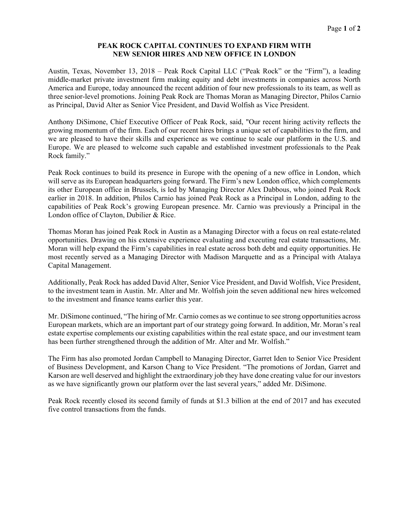# **PEAK ROCK CAPITAL CONTINUES TO EXPAND FIRM WITH NEW SENIOR HIRES AND NEW OFFICE IN LONDON**

Austin, Texas, November 13, 2018 – Peak Rock Capital LLC ("Peak Rock" or the "Firm"), a leading middle-market private investment firm making equity and debt investments in companies across North America and Europe, today announced the recent addition of four new professionals to its team, as well as three senior-level promotions. Joining Peak Rock are Thomas Moran as Managing Director, Philos Carnio as Principal, David Alter as Senior Vice President, and David Wolfish as Vice President.

Anthony DiSimone, Chief Executive Officer of Peak Rock, said, "Our recent hiring activity reflects the growing momentum of the firm. Each of our recent hires brings a unique set of capabilities to the firm, and we are pleased to have their skills and experience as we continue to scale our platform in the U.S. and Europe. We are pleased to welcome such capable and established investment professionals to the Peak Rock family."

Peak Rock continues to build its presence in Europe with the opening of a new office in London, which will serve as its European headquarters going forward. The Firm's new London office, which complements its other European office in Brussels, is led by Managing Director Alex Dabbous, who joined Peak Rock earlier in 2018. In addition, Philos Carnio has joined Peak Rock as a Principal in London, adding to the capabilities of Peak Rock's growing European presence. Mr. Carnio was previously a Principal in the London office of Clayton, Dubilier & Rice.

Thomas Moran has joined Peak Rock in Austin as a Managing Director with a focus on real estate-related opportunities. Drawing on his extensive experience evaluating and executing real estate transactions, Mr. Moran will help expand the Firm's capabilities in real estate across both debt and equity opportunities. He most recently served as a Managing Director with Madison Marquette and as a Principal with Atalaya Capital Management.

Additionally, Peak Rock has added David Alter, Senior Vice President, and David Wolfish, Vice President, to the investment team in Austin. Mr. Alter and Mr. Wolfish join the seven additional new hires welcomed to the investment and finance teams earlier this year.

Mr. DiSimone continued, "The hiring of Mr. Carnio comes as we continue to see strong opportunities across European markets, which are an important part of our strategy going forward. In addition, Mr. Moran's real estate expertise complements our existing capabilities within the real estate space, and our investment team has been further strengthened through the addition of Mr. Alter and Mr. Wolfish."

The Firm has also promoted Jordan Campbell to Managing Director, Garret Iden to Senior Vice President of Business Development, and Karson Chang to Vice President. "The promotions of Jordan, Garret and Karson are well deserved and highlight the extraordinary job they have done creating value for our investors as we have significantly grown our platform over the last several years," added Mr. DiSimone.

Peak Rock recently closed its second family of funds at \$1.3 billion at the end of 2017 and has executed five control transactions from the funds.